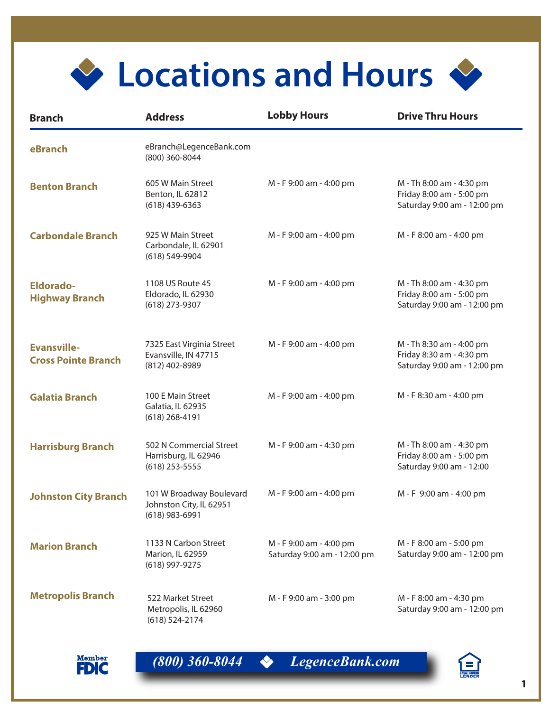

| <b>Branch</b>                                    | <b>Address</b>                                                          | <b>Lobby Hours</b>                                     | <b>Drive Thru Hours</b>                                                             |
|--------------------------------------------------|-------------------------------------------------------------------------|--------------------------------------------------------|-------------------------------------------------------------------------------------|
| eBranch                                          | eBranch@LegenceBank.com<br>(800) 360-8044                               |                                                        |                                                                                     |
| <b>Benton Branch</b>                             | 605 W Main Street<br>Benton, IL 62812<br>$(618)$ 439-6363               | M - F 9:00 am - 4:00 pm                                | M - Th 8:00 am - 4:30 pm<br>Friday 8:00 am - 5:00 pm<br>Saturday 9:00 am - 12:00 pm |
| <b>Carbondale Branch</b>                         | 925 W Main Street<br>Carbondale, IL 62901<br>$(618) 549 - 9904$         | M - F 9:00 am - 4:00 pm                                | M - F 8:00 am - 4:00 pm                                                             |
| <b>Eldorado-</b><br><b>Highway Branch</b>        | 1108 US Route 45<br>Eldorado, IL 62930<br>(618) 273-9307                | M - F 9:00 am - 4:00 pm                                | M - Th 8:00 am - 4:30 pm<br>Friday 8:00 am - 5:00 pm<br>Saturday 9:00 am - 12:00 pm |
| <b>Evansville-</b><br><b>Cross Pointe Branch</b> | 7325 East Virginia Street<br>Evansville, IN 47715<br>(812) 402-8989     | M - F 9:00 am - 4:00 pm                                | M - Th 8:30 am - 4:00 pm<br>Friday 8:30 am - 4:30 pm<br>Saturday 9:00 am - 12:00 pm |
| <b>Galatia Branch</b>                            | 100 E Main Street<br>Galatia, IL 62935<br>$(618)$ 268-4191              | M - F 9:00 am - 4:00 pm                                | M - F 8:30 am - 4:00 pm                                                             |
| <b>Harrisburg Branch</b>                         | 502 N Commercial Street<br>Harrisburg, IL 62946<br>$(618)$ 253-5555     | M - F 9:00 am - 4:30 pm                                | M - Th 8:00 am - 4:30 pm<br>Friday 8:00 am - 5:00 pm<br>Saturday 9:00 am - 12:00    |
| <b>Johnston City Branch</b>                      | 101 W Broadway Boulevard<br>Johnston City, IL 62951<br>$(618)$ 983-6991 | M - F 9:00 am - 4:00 pm                                | M - F 9:00 am - 4:00 pm                                                             |
| <b>Marion Branch</b>                             | 1133 N Carbon Street<br>Marion, IL 62959<br>(618) 997-9275              | M - F 9:00 am - 4:00 pm<br>Saturday 9:00 am - 12:00 pm | M - F 8:00 am - 5:00 pm<br>Saturday 9:00 am - 12:00 pm                              |
| <b>Metropolis Branch</b>                         | 522 Market Street<br>Metropolis, IL 62960<br>$(618) 524 - 2174$         | M - F 9:00 am - 3:00 pm                                | M - F 8:00 am - 4:30 pm<br>Saturday 9:00 am - 12:00 pm                              |





*(800) 360-8044 LegenceBank.com*